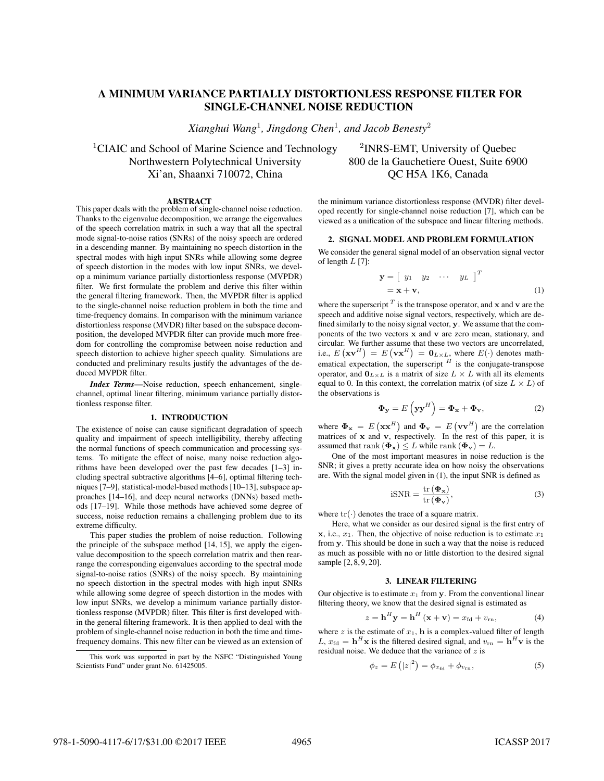### A MINIMUM VARIANCE PARTIALLY DISTORTIONLESS RESPONSE FILTER FOR SINGLE-CHANNEL NOISE REDUCTION SINGLE-CHANNEL NOISE REDUCTION

*Xianghui Wang*<sup>1</sup>*, Jingdong Chen*<sup>1</sup>*, and Jacob Benesty*<sup>2</sup>

<sup>1</sup>CIAIC and School of Marine Science and Technology  $2$  INRS-EMT, University of Quebec Northwestern Polytechnical University 800 de la Gauchetiere Ouest, Suite 6900 Xi'an, Shaanxi 710072, China QC H5A 1K6, Canada

This paper deals with the problem of single-channel noise reduction. Thanks to the eigenvalue decomposition, we arrange the eigenvalues of the speech correlation matrix in such a way that all the spectral mode signal-to-noise ratios (SNRs) of the noisy speech are ordered in a descending manner. By maintaining no speech distortion in the spectral modes with high input SNRs while allowing some degree of speech distortion in the modes with low input SNRs, we develop a minimum variance partially distortionless response (MVPDR) filter. We first formulate the problem and derive this filter within the general filtering framework. Then, the MVPDR filter is applied to the single-channel noise reduction problem in both the time and time-frequency domains. In comparison with the minimum variance distortionless response (MVDR) filter based on the subspace decomposition, the developed MVPDR filter can provide much more freedom for controlling the compromise between noise reduction and speech distortion to achieve higher speech quality. Simulations are conducted and preliminary results justify the advantages of the deduced MVPDR filter.

*Index Terms*—Noise reduction, speech enhancement, singlechannel, optimal linear filtering, minimum variance partially distortionless response filter.

The existence of noise can cause significant degradation of speech quality and impairment of speech intelligibility, thereby affecting the normal functions of speech communication and processing systems. To mitigate the effect of noise, many noise reduction algorithms have been developed over the past few decades [1–3] including spectral subtractive algorithms [4–6], optimal filtering techniques [7–9], statistical-model-based methods [10–13], subspace approaches [14–16], and deep neural networks (DNNs) based methods [17–19]. While those methods have achieved some degree of success, noise reduction remains a challenging problem due to its extreme difficulty.

This paper studies the problem of noise reduction. Following the principle of the subspace method [14, 15], we apply the eigenvalue decomposition to the speech correlation matrix and then rearrange the corresponding eigenvalues according to the spectral mode signal-to-noise ratios (SNRs) of the noisy speech. By maintaining no speech distortion in the spectral modes with high input SNRs while allowing some degree of speech distortion in the modes with low input SNRs, we develop a minimum variance partially distortionless response (MVPDR) filter. This filter is first developed within the general filtering framework. It is then applied to deal with the problem of single-channel noise reduction in both the time and timefrequency domains. This new filter can be viewed as an extension of

the minimum variance distortionless response (MVDR) filter developed recently for single-channel noise reduction [7], which can be viewed as a unification of the subspace and linear filtering methods.

2. SIGNAL MODEL AND PROBLEM FORMULATION We consider the general signal model of an observation signal vector of length  $L$  [7]:

$$
\mathbf{y} = \begin{bmatrix} y_1 & y_2 & \cdots & y_L \end{bmatrix}^T
$$
\n
$$
= \mathbf{x} + \mathbf{v}, \tag{1}
$$

where the superscript  $T$  is the transpose operator, and  $x$  and  $y$  are the speech and additive noise signal vectors, respectively, which are defined similarly to the noisy signal vector, **y**. We assume that the components of the two vectors **x** and **v** are zero mean, stationary, and circular. We further assume that these two vectors are uncorrelated, i.e.,  $E(\mathbf{x}\mathbf{v}^H) = E(\mathbf{v}\mathbf{x}^H) = \mathbf{0}_{L \times L}$ , where  $E(\cdot)$  denotes mathematical expectation, the superscript  $H$  is the conjugate-transpose operator, and  $\mathbf{0}_{L \times L}$  is a matrix of size  $L \times L$  with all its elements equal to 0. In this context, the correlation matrix (of size  $L \times L$ ) of the observations is

$$
\Phi_{\mathbf{y}} = E\left(\mathbf{y}\mathbf{y}^H\right) = \Phi_{\mathbf{x}} + \Phi_{\mathbf{v}},\tag{2}
$$

where  $\Phi_{\mathbf{x}} = E\left(\mathbf{x}\mathbf{x}^H\right)$  and  $\Phi_{\mathbf{v}} = E\left(\mathbf{v}\mathbf{v}^H\right)$  are the correlation matrices of **x** and **v**, respectively. In the rest of this paper, it is assumed that rank  $(\Phi_{\mathbf{x}}) \leq L$  while rank  $(\Phi_{\mathbf{v}}) = L$ .

One of the most important measures in noise reduction is the SNR; it gives a pretty accurate idea on how noisy the observations are. With the signal model given in (1), the input SNR is defined as

$$
iSNR = \frac{\text{tr}(\Phi_{\mathbf{x}})}{\text{tr}(\Phi_{\mathbf{v}})},
$$
\n(3)

where  $\text{tr}(\cdot)$  denotes the trace of a square matrix.

Here, what we consider as our desired signal is the first entry of **x**, i.e.,  $x_1$ . Then, the objective of noise reduction is to estimate  $x_1$ from **y**. This should be done in such a way that the noise is reduced as much as possible with no or little distortion to the desired signal sample [2, 8, 9, 20].

 $\overline{\text{Our objective}}$  is to estimate  $x_1$  from **y**. From the conventional linear filtering theory, we know that the desired signal is estimated as

$$
z = \mathbf{h}^{H} \mathbf{y} = \mathbf{h}^{H} \left( \mathbf{x} + \mathbf{v} \right) = x_{\text{fd}} + v_{\text{rn}}, \tag{4}
$$

where  $z$  is the estimate of  $x_1$ , **h** is a complex-valued filter of length  $L, x_{\text{fd}} = \mathbf{h}^H \mathbf{x}$  is the filtered desired signal, and  $v_{\text{rn}} = \mathbf{h}^H \mathbf{v}$  is the residual noise. We deduce that the variance of  $z$  is  $22.22$ 

$$
\phi_z = E\left(|z|^2\right) = \phi_{x_{\text{fd}}} + \phi_{v_{\text{rn}}},\tag{5}
$$

This work was supported in part by the NSFC "Distinguished Young Scientists Fund" under grant No. 61425005.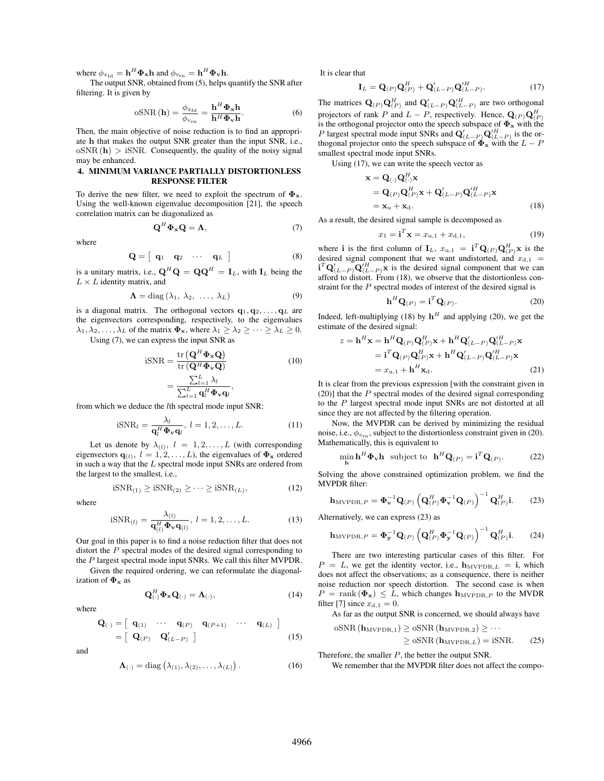where  $\phi_{x_{\text{fd}}} = \mathbf{h}^H \mathbf{\Phi}_{\mathbf{x}} \mathbf{h}$  and  $\phi_{v_{\text{rn}}} = \mathbf{h}^H \mathbf{\Phi}_{\mathbf{v}} \mathbf{h}$ .

The output SNR, obtained from (5), helps quantify the SNR after filtering. It is given by

$$
\mathrm{oSNR}\left(\mathbf{h}\right) = \frac{\phi_{x_{\mathrm{fd}}}}{\phi_{v_{\mathrm{rn}}}} = \frac{\mathbf{h}^H \mathbf{\Phi}_\mathbf{x} \mathbf{h}}{\mathbf{h}^H \mathbf{\Phi}_\mathbf{v} \mathbf{h}}.\tag{6}
$$

Then, the main objective of noise reduction is to find an appropriate **h** that makes the output SNR greater than the input SNR, i.e.,  $oSNR(h) > iSNR$ . Consequently, the quality of the noisy signal may be enhanced.

### 4. MINIMUM VARIANCE PARTIALLY DISTORTIONLESS

To derive the new filter, we need to exploit the spectrum of  $\Phi_{\mathbf{x}}$ . Using the well-known eigenvalue decomposition [21], the speech correlation matrix can be diagonalized as

$$
\mathbf{Q}^H \mathbf{\Phi}_\mathbf{x} \mathbf{Q} = \mathbf{\Lambda},\tag{7}
$$

where

$$
\mathbf{Q} = \left[ \begin{array}{cccc} \mathbf{q}_1 & \mathbf{q}_2 & \cdots & \mathbf{q}_L \end{array} \right] \tag{8}
$$

is a unitary matrix, i.e.,  $\mathbf{Q}^H \mathbf{Q} = \mathbf{Q} \mathbf{Q}^H = \mathbf{I}_L$ , with  $\mathbf{I}_L$  being the  $L \times L$  identity matrix, and

$$
\mathbf{\Lambda} = \text{diag}(\lambda_1, \lambda_2, \ldots, \lambda_L) \tag{9}
$$

is a diagonal matrix. The orthogonal vectors  $\mathbf{q}_1, \mathbf{q}_2, \dots, \mathbf{q}_L$  are the eigenvectors corresponding, respectively, to the eigenvalues  $\lambda_1, \lambda_2, \ldots, \lambda_L$  of the matrix  $\Phi_{\mathbf{x}}$ , where  $\lambda_1 \geq \lambda_2 \geq \cdots \geq \lambda_L \geq 0$ . Using (7), we can express the input SNR as

$$
iSNR = \frac{\text{tr} \left( \mathbf{Q}^H \mathbf{\Phi}_\mathbf{x} \mathbf{Q} \right)}{\text{tr} \left( \mathbf{Q}^H \mathbf{\Phi}_\mathbf{v} \mathbf{Q} \right)} = \frac{\sum_{l=1}^L \lambda_l}{\sum_{l=1}^L \mathbf{q}_l^H \mathbf{\Phi}_\mathbf{v} \mathbf{q}_l},
$$
(10)

from which we deduce the lth spectral mode input SNR:

$$
iSNR_l = \frac{\lambda_l}{\mathbf{q}_l^H \mathbf{\Phi}_\mathbf{v} \mathbf{q}_l}, \ l = 1, 2, \dots, L.
$$
 (11)

Let us denote by  $\lambda_{(l)}$ ,  $l = 1, 2, ..., L$  (with corresponding eigenvectors  $\mathbf{q}_{(l)}$ ,  $l = 1, 2, \dots, L$ ), the eigenvalues of  $\mathbf{\Phi}_{\mathbf{x}}$  ordered in such a way that the  $L$  spectral mode input SNRs are ordered from the largest to the smallest, i.e.,

$$
iSNR_{(1)} \ge iSNR_{(2)} \ge \cdots \ge iSNR_{(L)}, \tag{12}
$$

where

$$
iSNR_{(l)} = \frac{\lambda_{(l)}}{\mathbf{q}_{(l)}^H \mathbf{\Phi}_{\mathbf{v}} \mathbf{q}_{(l)}}, \ l = 1, 2, \dots, L.
$$
 (13)

Our goal in this paper is to find a noise reduction filter that does not distort the  $P$  spectral modes of the desired signal corresponding to the P largest spectral mode input SNRs. We call this filter MVPDR.

Given the required ordering, we can reformulate the diagonalization of **Φ<sup>x</sup>** as

$$
\mathbf{Q}_{\left(\cdot\right)}^{H}\mathbf{\Phi}_{\mathbf{x}}\mathbf{Q}_{\left(\cdot\right)}=\mathbf{\Lambda}_{\left(\cdot\right)},\tag{14}
$$

where

$$
\mathbf{Q}_{(\cdot)} = \left[ \begin{array}{cccc} \mathbf{q}_{(1)} & \cdots & \mathbf{q}_{(P)} & \mathbf{q}_{(P+1)} & \cdots & \mathbf{q}_{(L)} \end{array} \right] \n= \left[ \begin{array}{cccc} \mathbf{Q}_{(P)} & \mathbf{Q}_{(L-P)}' \end{array} \right]
$$
\n(15)

and

$$
\mathbf{\Lambda}_{(\cdot)} = \text{diag}\left(\lambda_{(1)}, \lambda_{(2)}, \dots, \lambda_{(L)}\right). \tag{16}
$$

It is clear that

$$
\mathbf{I}_L = \mathbf{Q}_{(P)} \mathbf{Q}_{(P)}^H + \mathbf{Q}_{(L-P)}' \mathbf{Q}_{(L-P)}'^H.
$$
 (17)

The matrices  $\mathbf{Q}_{(P)} \mathbf{Q}_{(P)}^H$  and  $\mathbf{Q}_{(L-P)}^{\prime} \mathbf{Q}_{(L-P)}^{\prime H}$  are two orthogonal projectors of rank P and  $L - P$ , respectively. Hence,  $\mathbf{Q}_{(P)}\mathbf{Q}_{(P)}^H$ is the orthogonal projector onto the speech subspace of  $\Phi$ **x** with the P largest spectral mode input SNRs and  $\mathbf{Q}_{(L-P)}^{\prime} \mathbf{Q}_{(L-P)}^{\prime H}$  is the orthogonal projector onto the speech subspace of  $\vec{\Phi}_\mathbf{x}$  with the  $L - P$ smallest spectral mode input SNRs.

Using (17), we can write the speech vector as

$$
\mathbf{x} = \mathbf{Q}_{(\cdot)} \mathbf{Q}_{(\cdot)}^{H} \mathbf{x}
$$
  
=  $\mathbf{Q}_{(P)} \mathbf{Q}_{(P)}^{H} \mathbf{x} + \mathbf{Q}_{(L-P)}^{'} \mathbf{Q}_{(L-P)}^{'} \mathbf{x}$   
=  $\mathbf{x}_{\mathrm{u}} + \mathbf{x}_{\mathrm{d}}.$  (18)

As a result, the desired signal sample is decomposed as

$$
x_1 = \mathbf{i}^T \mathbf{x} = x_{u,1} + x_{d,1},\tag{19}
$$

where **i** is the first column of  $\mathbf{I}_L$ ,  $x_{u,1} = \mathbf{i}^T \mathbf{Q}_{(P)} \mathbf{Q}_{(P)}^H \mathbf{x}$  is the desired signal component that we want undistorted, and  $x_{d,1}$  =  $\mathbf{i}^T \mathbf{Q}_{(L-P)}' \mathbf{Q}_{(L-P)}'^H$  is the desired signal component that we can afford to distort. From (18), we observe that the distortionless constraint for the  $P$  spectral modes of interest of the desired signal is

$$
\mathbf{h}^H \mathbf{Q}_{(P)} = \mathbf{i}^T \mathbf{Q}_{(P)}.
$$
 (20)

Indeed, left-multiplying (18) by  $\mathbf{h}^H$  and applying (20), we get the estimate of the desired signal:

$$
z = \mathbf{h}^{H} \mathbf{x} = \mathbf{h}^{H} \mathbf{Q}_{(P)} \mathbf{Q}_{(P)}^{H} \mathbf{x} + \mathbf{h}^{H} \mathbf{Q}_{(L-P)}' \mathbf{Q}_{(L-P)}^{'H} \mathbf{x}
$$
  
= 
$$
\mathbf{i}^{T} \mathbf{Q}_{(P)} \mathbf{Q}_{(P)}^{H} \mathbf{x} + \mathbf{h}^{H} \mathbf{Q}_{(L-P)}' \mathbf{Q}_{(L-P)}^{'H} \mathbf{x}
$$
  
= 
$$
x_{u,1} + \mathbf{h}^{H} \mathbf{x}_{d}.
$$
 (21)

It is clear from the previous expression [with the constraint given in  $(20)$ ] that the P spectral modes of the desired signal corresponding to the P largest spectral mode input SNRs are not distorted at all since they are not affected by the filtering operation.

Now, the MVPDR can be derived by minimizing the residual noise, i.e.,  $\phi_{v_{\rm rn}}$ , subject to the distortionless constraint given in (20). Mathematically, this is equivalent to

$$
\min_{\mathbf{h}} \mathbf{h}^H \mathbf{\Phi}_{\mathbf{v}} \mathbf{h} \text{ subject to } \mathbf{h}^H \mathbf{Q}_{(P)} = \mathbf{i}^T \mathbf{Q}_{(P)}.
$$
 (22)

Solving the above constrained optimization problem, we find the MVPDR filter:

$$
\mathbf{h}_{\text{MVPDR},P} = \mathbf{\Phi}_{\mathbf{v}}^{-1} \mathbf{Q}_{(P)} \left( \mathbf{Q}_{(P)}^H \mathbf{\Phi}_{\mathbf{v}}^{-1} \mathbf{Q}_{(P)} \right)^{-1} \mathbf{Q}_{(P)}^H \mathbf{i}.
$$
 (23)

Alternatively, we can express (23) as

$$
\mathbf{h}_{\text{MVPDR},P} = \mathbf{\Phi}_{\mathbf{y}}^{-1} \mathbf{Q}_{(P)} \left( \mathbf{Q}_{(P)}^H \mathbf{\Phi}_{\mathbf{y}}^{-1} \mathbf{Q}_{(P)} \right)^{-1} \mathbf{Q}_{(P)}^H \mathbf{i}. \tag{24}
$$

There are two interesting particular cases of this filter. For  $P = L$ , we get the identity vector, i.e.,  $h_{\text{MVPDR},L} = i$ , which does not affect the observations; as a consequence, there is neither noise reduction nor speech distortion. The second case is when  $P = \text{rank}(\Phi_{\mathbf{x}}) \leq L$ , which changes  $\mathbf{h}_{\text{MVPDR},P}$  to the MVDR filter [7] since  $x_{d,1} = 0$ .

As far as the output SNR is concerned, we should always have

$$
\begin{aligned} \n\text{oSNR}\left(\mathbf{h}_{\text{MVPDR},1}\right) &\geq \text{oSNR}\left(\mathbf{h}_{\text{MVPDR},2}\right) \geq \cdots \\ \n&\geq \text{oSNR}\left(\mathbf{h}_{\text{MVPDR},L}\right) = \text{iSNR}. \n\end{aligned} \n\tag{25}
$$

Therefore, the smaller  $P$ , the better the output SNR.

We remember that the MVPDR filter does not affect the compo-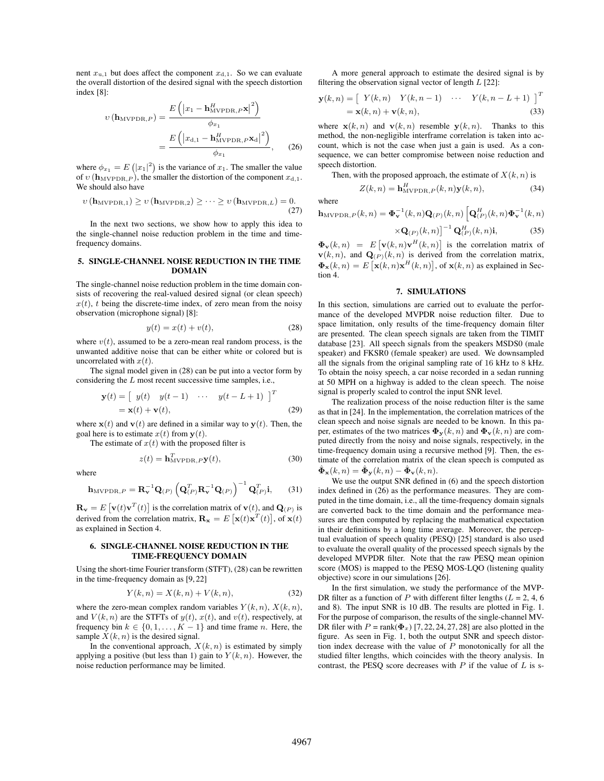nent  $x_{u,1}$  but does affect the component  $x_{d,1}$ . So we can evaluate the overall distortion of the desired signal with the speech distortion index [8]:

$$
v(\mathbf{h}_{\text{MVPDR},P}) = \frac{E\left(\left|x_1 - \mathbf{h}_{\text{MVPDR},P}^H \mathbf{x}\right|^2\right)}{\phi_{x_1}}
$$

$$
= \frac{E\left(\left|x_{d,1} - \mathbf{h}_{\text{MVPDR},P}^H \mathbf{x}_d\right|^2\right)}{\phi_{x_1}}, \quad (26)
$$

where  $\phi_{x_1} = E(|x_1|^2)$  is the variance of  $x_1$ . The smaller the value of  $v$  ( $\mathbf{h}_{\text{MVPDR},P}$ ), the smaller the distortion of the component  $x_{d,1}$ . We should also have

$$
v(\mathbf{h}_{\text{MVPDR},1}) \ge v(\mathbf{h}_{\text{MVPDR},2}) \ge \cdots \ge v(\mathbf{h}_{\text{MVPDR},L}) = 0.
$$
\n(27)

In the next two sections, we show how to apply this idea to the single-channel noise reduction problem in the time and timefrequency domains.

# 5. SINGLE-CHANNEL NOISE REDUCTION IN THE TIME

The single-channel noise reduction problem in the time domain consists of recovering the real-valued desired signal (or clean speech)  $x(t)$ , t being the discrete-time index, of zero mean from the noisy observation (microphone signal) [8]:

$$
y(t) = x(t) + v(t),\tag{28}
$$

where  $v(t)$ , assumed to be a zero-mean real random process, is the unwanted additive noise that can be either white or colored but is uncorrelated with  $x(t)$ .

The signal model given in (28) can be put into a vector form by considering the L most recent successive time samples, i.e.,

$$
\mathbf{y}(t) = \begin{bmatrix} y(t) & y(t-1) & \cdots & y(t-L+1) \end{bmatrix}^T
$$
  
=  $\mathbf{x}(t) + \mathbf{v}(t)$ , (29)

where  $\mathbf{x}(t)$  and  $\mathbf{v}(t)$  are defined in a similar way to  $\mathbf{y}(t)$ . Then, the goal here is to estimate  $x(t)$  from  $y(t)$ .

The estimate of  $x(t)$  with the proposed filter is

$$
z(t) = \mathbf{h}_{\text{MVPDR},P}^{T} \mathbf{y}(t),\tag{30}
$$

where

$$
\mathbf{h}_{\text{MVPDR},P} = \mathbf{R}_{\mathbf{v}}^{-1} \mathbf{Q}_{(P)} \left( \mathbf{Q}_{(P)}^{T} \mathbf{R}_{\mathbf{v}}^{-1} \mathbf{Q}_{(P)} \right)^{-1} \mathbf{Q}_{(P)}^{T} \mathbf{i},\qquad(31)
$$

 $\mathbf{R}_{\mathbf{v}} = E\left[\mathbf{v}(t)\mathbf{v}^T(t)\right]$  is the correlation matrix of  $\mathbf{v}(t)$ , and  $\mathbf{Q}_{(P)}$  is derived from the correlation matrix,  $\mathbf{R}_{\mathbf{x}} = E\left[\mathbf{x}(t)\mathbf{x}^T(t)\right]$ , of  $\mathbf{x}(t)$ as explained in Section 4.

## 6. SINGLE-CHANNEL NOISE REDUCTION IN THE

Using the short-time Fourier transform  $(STFT)$ ,  $(28)$  can be rewritten in the time-frequency domain as [9, 22]

$$
Y(k, n) = X(k, n) + V(k, n),
$$
\n(32)

where the zero-mean complex random variables  $Y(k, n)$ ,  $X(k, n)$ , and  $V(k, n)$  are the STFTs of  $y(t)$ ,  $x(t)$ , and  $v(t)$ , respectively, at frequency bin  $k \in \{0, 1, \ldots, K - 1\}$  and time frame n. Here, the sample  $X(k, n)$  is the desired signal.

In the conventional approach,  $X(k, n)$  is estimated by simply applying a positive (but less than 1) gain to  $Y(k, n)$ . However, the noise reduction performance may be limited.

A more general approach to estimate the desired signal is by filtering the observation signal vector of length  $L$  [22]:

$$
\mathbf{y}(k,n) = \begin{bmatrix} Y(k,n) & Y(k,n-1) & \cdots & Y(k,n-L+1) \end{bmatrix}^T
$$
  
=  $\mathbf{x}(k,n) + \mathbf{v}(k,n),$  (33)

where  $\mathbf{x}(k, n)$  and  $\mathbf{v}(k, n)$  resemble  $\mathbf{y}(k, n)$ . Thanks to this method, the non-negligible interframe correlation is taken into account, which is not the case when just a gain is used. As a consequence, we can better compromise between noise reduction and speech distortion.

Then, with the proposed approach, the estimate of  $X(k, n)$  is

$$
Z(k,n) = \mathbf{h}_{\text{MVPDR},P}^{H}(k,n)\mathbf{y}(k,n),\tag{34}
$$

where

$$
\mathbf{h}_{\text{MVPDR},P}(k,n) = \mathbf{\Phi}_{\mathbf{v}}^{-1}(k,n)\mathbf{Q}_{(P)}(k,n)\left[\mathbf{Q}_{(P)}^{H}(k,n)\mathbf{\Phi}_{\mathbf{v}}^{-1}(k,n)\right]
$$

$$
\times \mathbf{Q}_{(P)}(k,n)\big]^{-1} \mathbf{Q}_{(P)}^H(k,n)\mathbf{i},\tag{35}
$$

 $\mathbf{\Phi}_{\mathbf{v}}(k,n) = E[\mathbf{v}(k,n)\mathbf{v}^H(k,n)]$  is the correlation matrix of  $\mathbf{v}(k, n)$ , and  $\mathbf{Q}_{(P)}(k, n)$  is derived from the correlation matrix,  $\mathbf{\Phi}_{\mathbf{x}}(k,n) = E\left[\mathbf{x}(k,n)\mathbf{x}^H(k,n)\right]$ , of  $\mathbf{x}(k,n)$  as explained in Section 4.

In this section, simulations are carried out to evaluate the performance of the developed MVPDR noise reduction filter. Due to space limitation, only results of the time-frequency domain filter are presented. The clean speech signals are taken from the TIMIT database [23]. All speech signals from the speakers MSDS0 (male speaker) and FKSR0 (female speaker) are used. We downsampled all the signals from the original sampling rate of 16 kHz to 8 kHz. To obtain the noisy speech, a car noise recorded in a sedan running at 50 MPH on a highway is added to the clean speech. The noise signal is properly scaled to control the input SNR level.

The realization process of the noise reduction filter is the same as that in [24]. In the implementation, the correlation matrices of the clean speech and noise signals are needed to be known. In this paper, estimates of the two matrices  $\mathbf{\Phi}_{\mathbf{y}}(k,n)$  and  $\mathbf{\Phi}_{\mathbf{v}}(k,n)$  are computed directly from the noisy and noise signals, respectively, in the time-frequency domain using a recursive method [9]. Then, the estimate of the correlation matrix of the clean speech is computed as  $\hat{\mathbf{\Phi}}_{\mathbf{x}}(k,n) = \hat{\mathbf{\Phi}}_{\mathbf{y}}(k,n) - \hat{\mathbf{\Phi}}_{\mathbf{v}}(k,n).$ 

We use the output SNR defined in (6) and the speech distortion index defined in (26) as the performance measures. They are computed in the time domain, i.e., all the time-frequency domain signals are converted back to the time domain and the performance measures are then computed by replacing the mathematical expectation in their definitions by a long time average. Moreover, the perceptual evaluation of speech quality (PESQ) [25] standard is also used to evaluate the overall quality of the processed speech signals by the developed MVPDR filter. Note that the raw PESQ mean opinion score (MOS) is mapped to the PESQ MOS-LQO (listening quality objective) score in our simulations [26].

In the first simulation, we study the performance of the MVP-DR filter as a function of P with different filter lengths ( $L = 2, 4, 6$ ) and 8). The input SNR is 10 dB. The results are plotted in Fig. 1. For the purpose of comparison, the results of the single-channel MV-DR filer with  $P = \text{rank}(\Phi_x)$  [7, 22, 24, 27, 28] are also plotted in the figure. As seen in Fig. 1, both the output SNR and speech distortion index decrease with the value of  $P$  monotonically for all the studied filter lengths, which coincides with the theory analysis. In contrast, the PESQ score decreases with  $P$  if the value of  $L$  is s-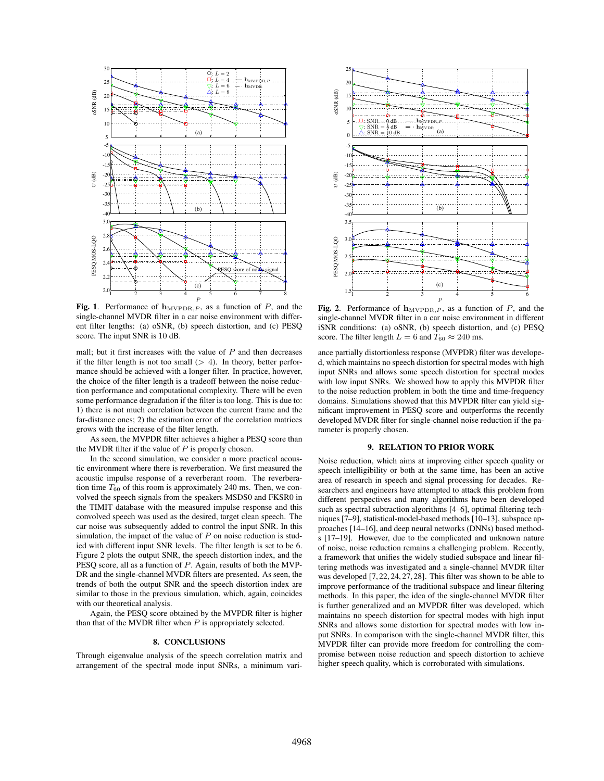

Fig. 1. Performance of  $h_{MVDIR,P}$ , as a function of P, and the single-channel MVDR filter in a car noise environment with different filter lengths: (a) oSNR, (b) speech distortion, and (c) PESQ score. The input SNR is 10 dB.

mall; but it first increases with the value of  $P$  and then decreases if the filter length is not too small  $(> 4)$ . In theory, better performance should be achieved with a longer filter. In practice, however, the choice of the filter length is a tradeoff between the noise reduction performance and computational complexity. There will be even some performance degradation if the filter is too long. This is due to: 1) there is not much correlation between the current frame and the far-distance ones; 2) the estimation error of the correlation matrices grows with the increase of the filter length.

As seen, the MVPDR filter achieves a higher a PESQ score than the MVDR filter if the value of  $P$  is properly chosen.

In the second simulation, we consider a more practical acoustic environment where there is reverberation. We first measured the acoustic impulse response of a reverberant room. The reverberation time  $T_{60}$  of this room is approximately 240 ms. Then, we convolved the speech signals from the speakers MSDS0 and FKSR0 in the TIMIT database with the measured impulse response and this convolved speech was used as the desired, target clean speech. The car noise was subsequently added to control the input SNR. In this simulation, the impact of the value of  $P$  on noise reduction is studied with different input SNR levels. The filter length is set to be 6. Figure 2 plots the output SNR, the speech distortion index, and the PESQ score, all as a function of P. Again, results of both the MVP-DR and the single-channel MVDR filters are presented. As seen, the trends of both the output SNR and the speech distortion index are similar to those in the previous simulation, which, again, coincides with our theoretical analysis.

Again, the PESQ score obtained by the MVPDR filter is higher than that of the MVDR filter when  $P$  is appropriately selected.

Through eigenvalue analysis of the speech correlation matrix and arrangement of the spectral mode input SNRs, a minimum vari-



Fig. 2. Performance of  $h_{MVPDR,P}$ , as a function of P, and the single-channel MVDR filter in a car noise environment in different iSNR conditions: (a) oSNR, (b) speech distortion, and (c) PESQ score. The filter length  $L = 6$  and  $T_{60} \approx 240$  ms.

ance partially distortionless response (MVPDR) filter was developed, which maintains no speech distortion for spectral modes with high input SNRs and allows some speech distortion for spectral modes with low input SNRs. We showed how to apply this MVPDR filter to the noise reduction problem in both the time and time-frequency domains. Simulations showed that this MVPDR filter can yield significant improvement in PESQ score and outperforms the recently developed MVDR filter for single-channel noise reduction if the parameter is properly chosen.

Noise reduction, which aims at improving either speech quality or speech intelligibility or both at the same time, has been an active area of research in speech and signal processing for decades. Researchers and engineers have attempted to attack this problem from different perspectives and many algorithms have been developed such as spectral subtraction algorithms [4–6], optimal filtering techniques [7–9], statistical-model-based methods [10–13], subspace approaches [14–16], and deep neural networks (DNNs) based methods [17–19]. However, due to the complicated and unknown nature of noise, noise reduction remains a challenging problem. Recently, a framework that unifies the widely studied subspace and linear filtering methods was investigated and a single-channel MVDR filter was developed [7, 22, 24, 27, 28]. This filter was shown to be able to improve performance of the traditional subspace and linear filtering methods. In this paper, the idea of the single-channel MVDR filter is further generalized and an MVPDR filter was developed, which maintains no speech distortion for spectral modes with high input SNRs and allows some distortion for spectral modes with low input SNRs. In comparison with the single-channel MVDR filter, this MVPDR filter can provide more freedom for controlling the compromise between noise reduction and speech distortion to achieve higher speech quality, which is corroborated with simulations.